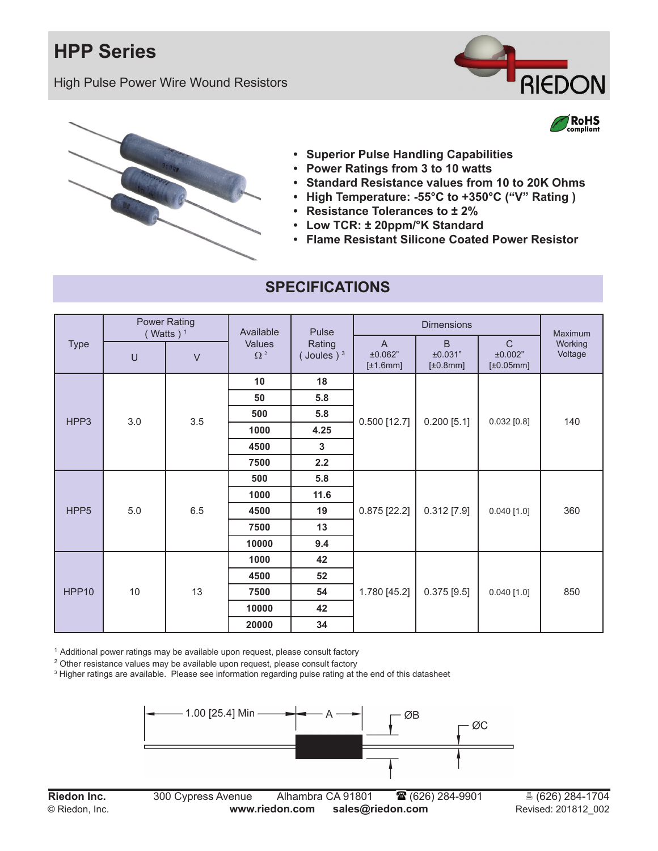## **HPP Series**

High Pulse Power Wire Wound Resistors



RoHS



- **• Superior Pulse Handling Capabilities**
- **• Power Ratings from 3 to 10 watts**
- **• Standard Resistance values from 10 to 20K Ohms**
- **• High Temperature: -55°C to +350°C ("V" Rating )**
- **• Resistance Tolerances to ± 2%**
- **• Low TCR: ± 20ppm/°K Standard**
- **• Flame Resistant Silicone Coated Power Resistor**

| <b>Type</b>      | <b>Power Rating</b><br>Watts) <sup>1</sup> |        | Available            | Pulse                  | <b>Dimensions</b>                           |                                |                                            | Maximum            |
|------------------|--------------------------------------------|--------|----------------------|------------------------|---------------------------------------------|--------------------------------|--------------------------------------------|--------------------|
|                  | U                                          | $\vee$ | Values<br>$\Omega^2$ | Rating<br>(Joules) $3$ | $\overline{A}$<br>±0.062"<br>$[\pm 1.6$ mm] | B<br>±0.031"<br>$[\pm 0.8$ mm] | $\mathsf{C}$<br>±0.002"<br>$[\pm 0.05$ mm] | Working<br>Voltage |
| HPP3             | 3.0                                        | 3.5    | 10                   | 18                     | $0.500$ [12.7]                              | $0.200$ [5.1]                  | 0.032 [0.8]                                | 140                |
|                  |                                            |        | 50                   | 5.8                    |                                             |                                |                                            |                    |
|                  |                                            |        | 500                  | 5.8                    |                                             |                                |                                            |                    |
|                  |                                            |        | 1000                 | 4.25                   |                                             |                                |                                            |                    |
|                  |                                            |        | 4500                 | 3                      |                                             |                                |                                            |                    |
|                  |                                            |        | 7500                 | 2.2                    |                                             |                                |                                            |                    |
| HPP <sub>5</sub> | 5.0                                        | 6.5    | 500                  | 5.8                    | $0.875$ [22.2]                              | $0.312$ [7.9]                  | $0.040$ [1.0]                              | 360                |
|                  |                                            |        | 1000                 | 11.6                   |                                             |                                |                                            |                    |
|                  |                                            |        | 4500                 | 19                     |                                             |                                |                                            |                    |
|                  |                                            |        | 7500                 | 13                     |                                             |                                |                                            |                    |
|                  |                                            |        | 10000                | 9.4                    |                                             |                                |                                            |                    |
| HPP10            | $10$                                       | 13     | 1000                 | 42                     | 1.780 [45.2]                                | $0.375$ [9.5]                  | $0.040$ [1.0]                              | 850                |
|                  |                                            |        | 4500                 | 52                     |                                             |                                |                                            |                    |
|                  |                                            |        | 7500                 | 54                     |                                             |                                |                                            |                    |
|                  |                                            |        | 10000                | 42                     |                                             |                                |                                            |                    |
|                  |                                            |        | 20000                | 34                     |                                             |                                |                                            |                    |

#### **SPECIFICATIONS**

<sup>1</sup> Additional power ratings may be available upon request, please consult factory

 $^{\rm 2}$  Other resistance values may be available upon request, please consult factory

 $\,{}^3$  Higher ratings are available.  $\,$  Please see information regarding pulse rating at the end of this datasheet

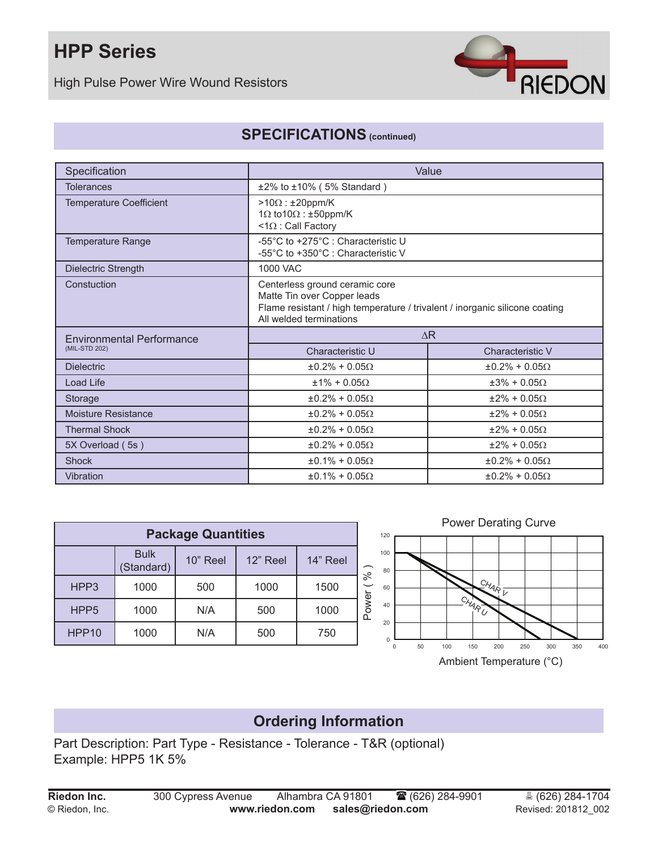# **HPP Series**

High Pulse Power Wire Wound Resistors



### **SPECIFICATIONS (continued)**

| Specification                    | Value                                                                                                                                                                   |                          |  |  |
|----------------------------------|-------------------------------------------------------------------------------------------------------------------------------------------------------------------------|--------------------------|--|--|
| <b>Tolerances</b>                | $±2\%$ to $±10\%$ (5% Standard)                                                                                                                                         |                          |  |  |
| <b>Temperature Coefficient</b>   | $>10\Omega$ : ±20ppm/K<br>1 $\Omega$ to 10 $\Omega$ : ±50ppm/K<br>$<1\Omega$ : Call Factory                                                                             |                          |  |  |
| Temperature Range                | -55°C to +275°C : Characteristic U<br>-55°C to +350°C : Characteristic V                                                                                                |                          |  |  |
| Dielectric Strength              | 1000 VAC                                                                                                                                                                |                          |  |  |
| Constuction                      | Centerless ground ceramic core<br>Matte Tin over Copper leads<br>Flame resistant / high temperature / trivalent / inorganic silicone coating<br>All welded terminations |                          |  |  |
| <b>Environmental Performance</b> | AR                                                                                                                                                                      |                          |  |  |
| (MIL-STD 202)                    | Characteristic U                                                                                                                                                        | Characteristic V         |  |  |
| <b>Dielectric</b>                | $\pm 0.2\% + 0.05\Omega$                                                                                                                                                | $\pm 0.2\% + 0.05\Omega$ |  |  |
| Load Life                        | $±1\% + 0.05\Omega$                                                                                                                                                     | $\pm 3\% + 0.05\Omega$   |  |  |
| Storage                          | $±0.2\% + 0.05\Omega$                                                                                                                                                   | $\pm 2\% + 0.05\Omega$   |  |  |
| Moisture Resistance              | $\pm 0.2\% + 0.05\Omega$                                                                                                                                                | $+2\% + 0.050$           |  |  |
| <b>Thermal Shock</b>             | $±0.2\% + 0.05\Omega$                                                                                                                                                   | $\pm 2\% + 0.05\Omega$   |  |  |
| 5X Overload (5s)                 | $\pm 0.2\% + 0.05\Omega$                                                                                                                                                | $\pm 2\% + 0.05\Omega$   |  |  |
| <b>Shock</b>                     | $\pm 0.1\% + 0.05\Omega$                                                                                                                                                | $\pm 0.2\% + 0.05\Omega$ |  |  |
| Vibration                        | $\pm 0.1\% + 0.05\Omega$<br>$\pm 0.2\% + 0.05\Omega$                                                                                                                    |                          |  |  |

| <b>Package Quantities</b> |                           |          |          |          |       |  |  |  |
|---------------------------|---------------------------|----------|----------|----------|-------|--|--|--|
|                           | <b>Bulk</b><br>(Standard) | 10" Reel | 12" Reel | 14" Reel | %     |  |  |  |
| HPP3                      | 1000                      | 500      | 1000     | 1500     |       |  |  |  |
| HPP <sub>5</sub>          | 1000                      | N/A      | 500      | 1000     | Power |  |  |  |
| HPP10                     | 1000                      | N/A      | 500      | 750      |       |  |  |  |



### **Ordering Information**

Part Description: Part Type - Resistance - Tolerance - T&R (optional) Example: HPP5 1K 5%